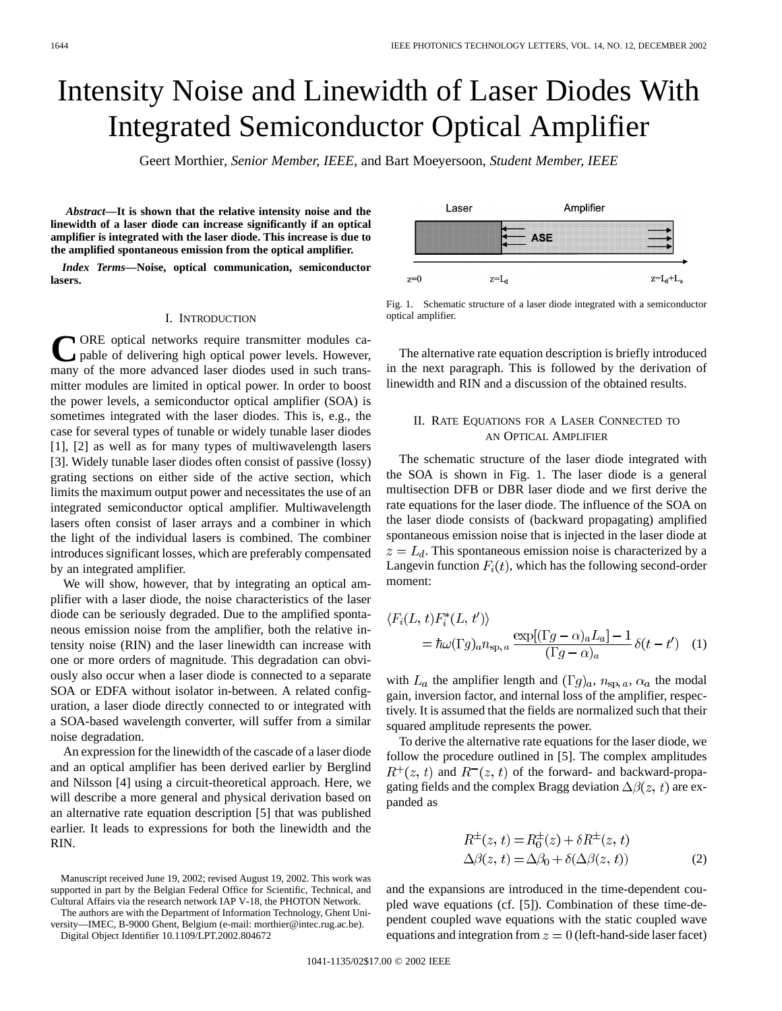# Intensity Noise and Linewidth of Laser Diodes With Integrated Semiconductor Optical Amplifier

Geert Morthier*, Senior Member, IEEE,* and Bart Moeyersoon*, Student Member, IEEE*

*Abstract—***It is shown that the relative intensity noise and the linewidth of a laser diode can increase significantly if an optical amplifier is integrated with the laser diode. This increase is due to the amplified spontaneous emission from the optical amplifier.**

*Index Terms—***Noise, optical communication, semiconductor lasers.**

#### I. INTRODUCTION

CORE optical networks require transmitter modules capable of delivering high optical power levels. However, many of the more advanced laser diodes used in such transmitter modules are limited in optical power. In order to boost the power levels, a semiconductor optical amplifier (SOA) is sometimes integrated with the laser diodes. This is, e.g., the case for several types of tunable or widely tunable laser diodes [1], [2] as well as for many types of multiwavelength lasers [3]. Widely tunable laser diodes often consist of passive (lossy) grating sections on either side of the active section, which limits the maximum output power and necessitates the use of an integrated semiconductor optical amplifier. Multiwavelength lasers often consist of laser arrays and a combiner in which the light of the individual lasers is combined. The combiner introduces significant losses, which are preferably compensated by an integrated amplifier.

We will show, however, that by integrating an optical amplifier with a laser diode, the noise characteristics of the laser diode can be seriously degraded. Due to the amplified spontaneous emission noise from the amplifier, both the relative intensity noise (RIN) and the laser linewidth can increase with one or more orders of magnitude. This degradation can obviously also occur when a laser diode is connected to a separate SOA or EDFA without isolator in-between. A related configuration, a laser diode directly connected to or integrated with a SOA-based wavelength converter, will suffer from a similar noise degradation.

An expression for the linewidth of the cascade of a laser diode and an optical amplifier has been derived earlier by Berglind and Nilsson [4] using a circuit-theoretical approach. Here, we will describe a more general and physical derivation based on an alternative rate equation description [5] that was published earlier. It leads to expressions for both the linewidth and the RIN.

The authors are with the Department of Information Technology, Ghent University—IMEC, B-9000 Ghent, Belgium (e-mail: morthier@intec.rug.ac.be).

Digital Object Identifier 10.1109/LPT.2002.804672

Fig. 1. Schematic structure of a laser diode integrated with a semiconductor optical amplifier.

The alternative rate equation description is briefly introduced in the next paragraph. This is followed by the derivation of linewidth and RIN and a discussion of the obtained results.

## II. RATE EQUATIONS FOR A LASER CONNECTED TO AN OPTICAL AMPLIFIER

The schematic structure of the laser diode integrated with the SOA is shown in Fig. 1. The laser diode is a general multisection DFB or DBR laser diode and we first derive the rate equations for the laser diode. The influence of the SOA on the laser diode consists of (backward propagating) amplified spontaneous emission noise that is injected in the laser diode at  $z = L_d$ . This spontaneous emission noise is characterized by a Langevin function  $F_i(t)$ , which has the following second-order moment:

$$
\langle F_i(L, t) F_i^*(L, t') \rangle
$$
  
=  $\hbar \omega(\Gamma g)_a n_{\rm sp, a} \frac{\exp[(\Gamma g - \alpha)_a L_a] - 1}{(\Gamma g - \alpha)_a} \delta(t - t')$  (1)

with  $L_a$  the amplifier length and  $(\Gamma g)_a$ ,  $n_{\text{sp},a}$ ,  $\alpha_a$  the modal gain, inversion factor, and internal loss of the amplifier, respectively. It is assumed that the fields are normalized such that their squared amplitude represents the power.

To derive the alternative rate equations for the laser diode, we follow the procedure outlined in [5]. The complex amplitudes  $R^+(z, t)$  and  $R^-(z, t)$  of the forward- and backward-propagating fields and the complex Bragg deviation  $\Delta\beta(z, t)$  are expanded as

$$
R^{\pm}(z, t) = R_0^{\pm}(z) + \delta R^{\pm}(z, t)
$$
  
\n
$$
\Delta\beta(z, t) = \Delta\beta_0 + \delta(\Delta\beta(z, t))
$$
\n(2)

and the expansions are introduced in the time-dependent coupled wave equations (cf. [5]). Combination of these time-dependent coupled wave equations with the static coupled wave equations and integration from  $z = 0$  (left-hand-side laser facet)



Manuscript received June 19, 2002; revised August 19, 2002. This work was supported in part by the Belgian Federal Office for Scientific, Technical, and Cultural Affairs via the research network IAP V-18, the PHOTON Network.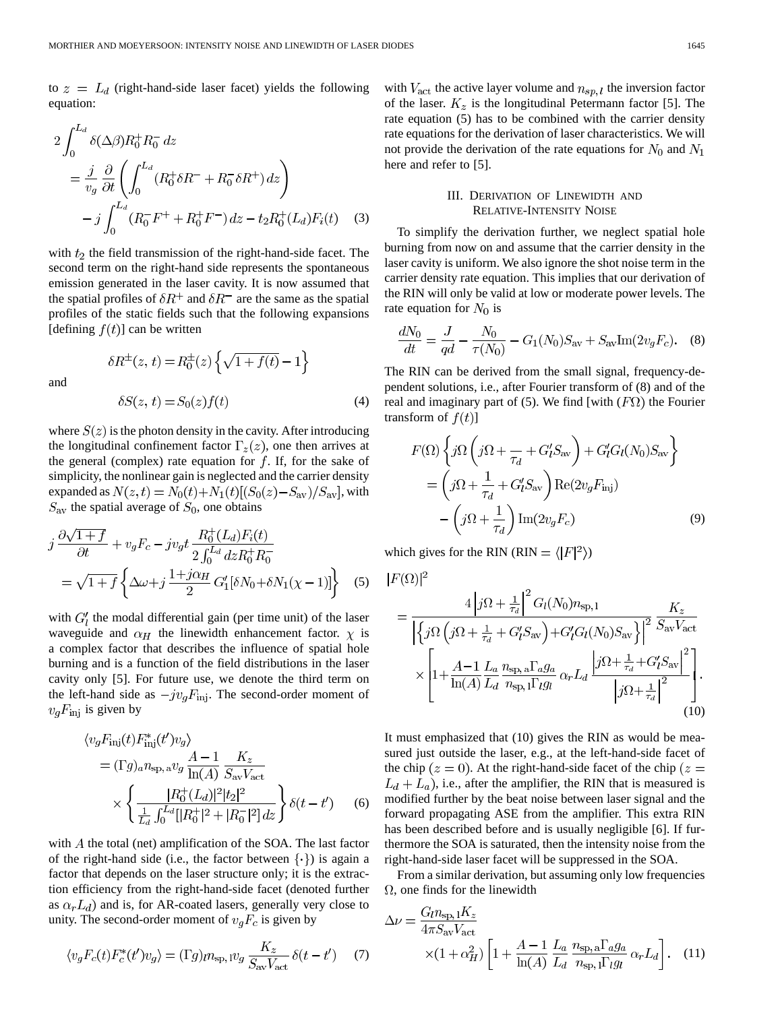to  $z = L_d$  (right-hand-side laser facet) yields the following equation:

$$
2\int_0^{L_d} \delta(\Delta\beta) R_0^+ R_0^- dz
$$
  
=  $\frac{j}{v_g} \frac{\partial}{\partial t} \left( \int_0^{L_d} (R_0^+ \delta R^- + R_0^- \delta R^+) dz \right)$   
 $- j \int_0^{L_d} (R_0^- F^+ + R_0^+ F^-) dz - t_2 R_0^+ (L_d) F_i(t)$  (3)

with  $t_2$  the field transmission of the right-hand-side facet. The second term on the right-hand side represents the spontaneous emission generated in the laser cavity. It is now assumed that the spatial profiles of  $\delta R^+$  and  $\delta R^-$  are the same as the spatial profiles of the static fields such that the following expansions [defining  $f(t)$ ] can be written

 $\delta R^{\pm}(z,\,t)=R^{\pm}_0(z)\left\{\sqrt{1+f(t)}-1\right\}$ 

and

$$
\delta S(z, t) = S_0(z)f(t) \tag{4}
$$

where  $S(z)$  is the photon density in the cavity. After introducing the longitudinal confinement factor  $\Gamma_z(z)$ , one then arrives at the general (complex) rate equation for  $f$ . If, for the sake of simplicity, the nonlinear gain is neglected and the carrier density expanded as  $N(z, t) = N_0(t) + N_1(t)[(S_0(z) - S_{av})/S_{av}]$ , with  $S_{\text{av}}$  the spatial average of  $S_0$ , one obtains

$$
j\frac{\partial\sqrt{1+f}}{\partial t} + v_g F_c - jv_g t \frac{R_0^+(L_d)F_i(t)}{2\int_0^{L_d} dz R_0^+ R_0^-}
$$
  
=  $\sqrt{1+f} \left\{ \Delta\omega + j\frac{1+j\alpha_H}{2} G_1'[\delta N_0 + \delta N_1(\chi - 1)] \right\}$  (5)

with  $G'_{l}$  the modal differential gain (per time unit) of the laser waveguide and  $\alpha_H$  the linewidth enhancement factor.  $\chi$  is a complex factor that describes the influence of spatial hole burning and is a function of the field distributions in the laser cavity only [5]. For future use, we denote the third term on the left-hand side as  $-jv_gF_{\text{inj}}$ . The second-order moment of  $v_q F_{\text{inj}}$  is given by

$$
\langle v_g F_{\rm inj}(t) F_{\rm inj}^*(t') v_g \rangle
$$
  
=  $(\Gamma g)_a n_{\rm sp, a} v_g \frac{A - 1}{\ln(A)} \frac{K_z}{S_{\rm av} V_{\rm act}}$   

$$
\times \left\{ \frac{|R_0^+(L_d)|^2 |t_2|^2}{\frac{1}{L_d} \int_0^{L_d} [|R_0^+|^2 + |R_0^-|^2] dz} \right\} \delta(t - t')
$$
(6)

with  $A$  the total (net) amplification of the SOA. The last factor of the right-hand side (i.e., the factor between  $\{\cdot\}$ ) is again a factor that depends on the laser structure only; it is the extraction efficiency from the right-hand-side facet (denoted further as  $\alpha_r L_d$ ) and is, for AR-coated lasers, generally very close to unity. The second-order moment of  $v_qF_c$  is given by

$$
\langle v_g F_c(t) F_c^*(t') v_g \rangle = (\Gamma g)_{t} n_{\rm sp,1} v_g \frac{K_z}{S_{\rm av} V_{\rm act}} \delta(t - t') \tag{7}
$$

with  $V_{\text{act}}$  the active layer volume and  $n_{sp, l}$  the inversion factor of the laser.  $K_z$  is the longitudinal Petermann factor [5]. The rate equation (5) has to be combined with the carrier density rate equations for the derivation of laser characteristics. We will not provide the derivation of the rate equations for  $N_0$  and  $N_1$ here and refer to [5].

## III. DERIVATION OF LINEWIDTH AND RELATIVE-INTENSITY NOISE

To simplify the derivation further, we neglect spatial hole burning from now on and assume that the carrier density in the laser cavity is uniform. We also ignore the shot noise term in the carrier density rate equation. This implies that our derivation of the RIN will only be valid at low or moderate power levels. The rate equation for  $N_0$  is

$$
\frac{dN_0}{dt} = \frac{J}{qd} - \frac{N_0}{\tau(N_0)} - G_1(N_0)S_{\text{av}} + S_{\text{av}}\text{Im}(2v_gF_c). \tag{8}
$$

The RIN can be derived from the small signal, frequency-dependent solutions, i.e., after Fourier transform of (8) and of the real and imaginary part of (5). We find [with  $(F\Omega)$  the Fourier transform of  $f(t)$ ]

$$
F(\Omega) \left\{ j\Omega \left( j\Omega + \frac{1}{\tau_d} + G'_l S_{\text{av}} \right) + G'_l G_l(N_0) S_{\text{av}} \right\}
$$

$$
= \left( j\Omega + \frac{1}{\tau_d} + G'_l S_{\text{av}} \right) \text{Re}(2v_g F_{\text{inj}})
$$

$$
- \left( j\Omega + \frac{1}{\tau_d} \right) \text{Im}(2v_g F_c) \tag{9}
$$

which gives for the RIN (RIN =  $\langle |F|^2 \rangle$ )

$$
|F(\Omega)|^2
$$

$$
= \frac{4\left|j\Omega + \frac{1}{\tau_d}\right|^2 G_l(N_0) n_{\rm sp,1}}{\left|\left\{j\Omega\left(j\Omega + \frac{1}{\tau_d} + G_l'S_{\rm av}\right) + G_l'G_l(N_0)S_{\rm av}\right\}\right|^2} \frac{K_z}{S_{\rm av}V_{\rm act}}
$$

$$
\times \left[1 + \frac{A - 1}{\ln(A)} \frac{L_a}{L_d} \frac{n_{\rm sp,a} \Gamma_a g_a}{n_{\rm sp,1} \Gamma_l g_l} \alpha_r L_d \frac{\left|j\Omega + \frac{1}{\tau_d} + G_l'S_{\rm av}\right|^2}{\left|j\Omega + \frac{1}{\tau_d}\right|^2}\right].
$$
(10)

It must emphasized that (10) gives the RIN as would be measured just outside the laser, e.g., at the left-hand-side facet of the chip  $(z = 0)$ . At the right-hand-side facet of the chip  $(z = 0)$  $L_d + L_a$ ), i.e., after the amplifier, the RIN that is measured is modified further by the beat noise between laser signal and the forward propagating ASE from the amplifier. This extra RIN has been described before and is usually negligible [6]. If furthermore the SOA is saturated, then the intensity noise from the right-hand-side laser facet will be suppressed in the SOA.

From a similar derivation, but assuming only low frequencies  $\Omega$ , one finds for the linewidth

$$
\Delta \nu = \frac{G_l n_{\rm sp,1} K_z}{4\pi S_{\rm av} V_{\rm act}}
$$

$$
\times (1 + \alpha_H^2) \left[ 1 + \frac{A - 1}{\ln(A)} \frac{L_a}{L_d} \frac{n_{\rm sp, a} \Gamma_a g_a}{n_{\rm sp, 1} \Gamma_l g_l} \alpha_r L_d \right]. \quad (11)
$$